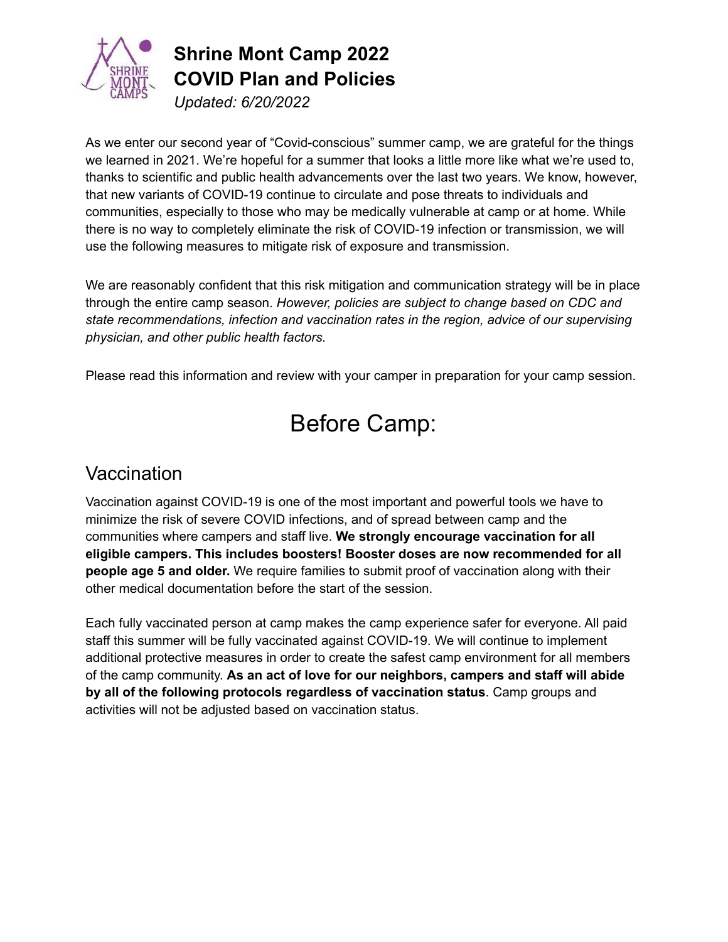

# **Shrine Mont Camp 2022 COVID Plan and Policies**

*Updated: 6/20/2022*

As we enter our second year of "Covid-conscious" summer camp, we are grateful for the things we learned in 2021. We're hopeful for a summer that looks a little more like what we're used to, thanks to scientific and public health advancements over the last two years. We know, however, that new variants of COVID-19 continue to circulate and pose threats to individuals and communities, especially to those who may be medically vulnerable at camp or at home. While there is no way to completely eliminate the risk of COVID-19 infection or transmission, we will use the following measures to mitigate risk of exposure and transmission.

We are reasonably confident that this risk mitigation and communication strategy will be in place through the entire camp season. *However, policies are subject to change based on CDC and state recommendations, infection and vaccination rates in the region, advice of our supervising physician, and other public health factors.*

Please read this information and review with your camper in preparation for your camp session.

## Before Camp:

### **Vaccination**

Vaccination against COVID-19 is one of the most important and powerful tools we have to minimize the risk of severe COVID infections, and of spread between camp and the communities where campers and staff live. **We strongly encourage vaccination for all eligible campers. This includes boosters! Booster doses are now recommended for all people age 5 and older.** We require families to submit proof of vaccination along with their other medical documentation before the start of the session.

Each fully vaccinated person at camp makes the camp experience safer for everyone. All paid staff this summer will be fully vaccinated against COVID-19. We will continue to implement additional protective measures in order to create the safest camp environment for all members of the camp community. **As an act of love for our neighbors, campers and staff will abide by all of the following protocols regardless of vaccination status**. Camp groups and activities will not be adjusted based on vaccination status.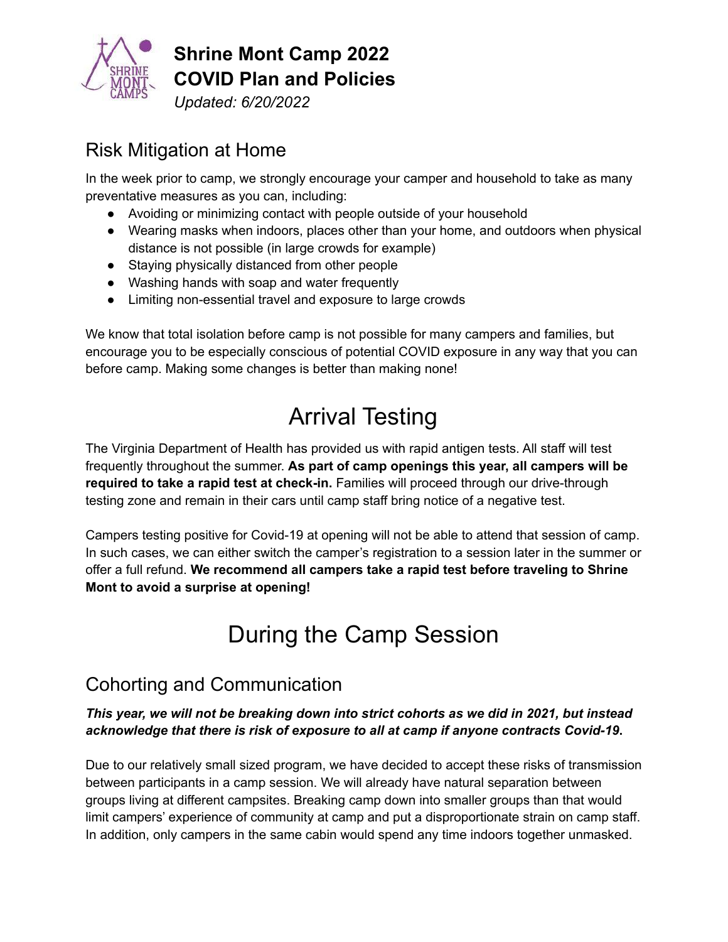

**Shrine Mont Camp 2022 COVID Plan and Policies**

*Updated: 6/20/2022*

### Risk Mitigation at Home

In the week prior to camp, we strongly encourage your camper and household to take as many preventative measures as you can, including:

- Avoiding or minimizing contact with people outside of your household
- Wearing masks when indoors, places other than your home, and outdoors when physical distance is not possible (in large crowds for example)
- Staying physically distanced from other people
- Washing hands with soap and water frequently
- Limiting non-essential travel and exposure to large crowds

We know that total isolation before camp is not possible for many campers and families, but encourage you to be especially conscious of potential COVID exposure in any way that you can before camp. Making some changes is better than making none!

## Arrival Testing

The Virginia Department of Health has provided us with rapid antigen tests. All staff will test frequently throughout the summer. **As part of camp openings this year, all campers will be required to take a rapid test at check-in.** Families will proceed through our drive-through testing zone and remain in their cars until camp staff bring notice of a negative test.

Campers testing positive for Covid-19 at opening will not be able to attend that session of camp. In such cases, we can either switch the camper's registration to a session later in the summer or offer a full refund. **We recommend all campers take a rapid test before traveling to Shrine Mont to avoid a surprise at opening!**

# During the Camp Session

### Cohorting and Communication

#### *This year, we will not be breaking down into strict cohorts as we did in 2021, but instead acknowledge that there is risk of exposure to all at camp if anyone contracts Covid-19***.**

Due to our relatively small sized program, we have decided to accept these risks of transmission between participants in a camp session. We will already have natural separation between groups living at different campsites. Breaking camp down into smaller groups than that would limit campers' experience of community at camp and put a disproportionate strain on camp staff. In addition, only campers in the same cabin would spend any time indoors together unmasked.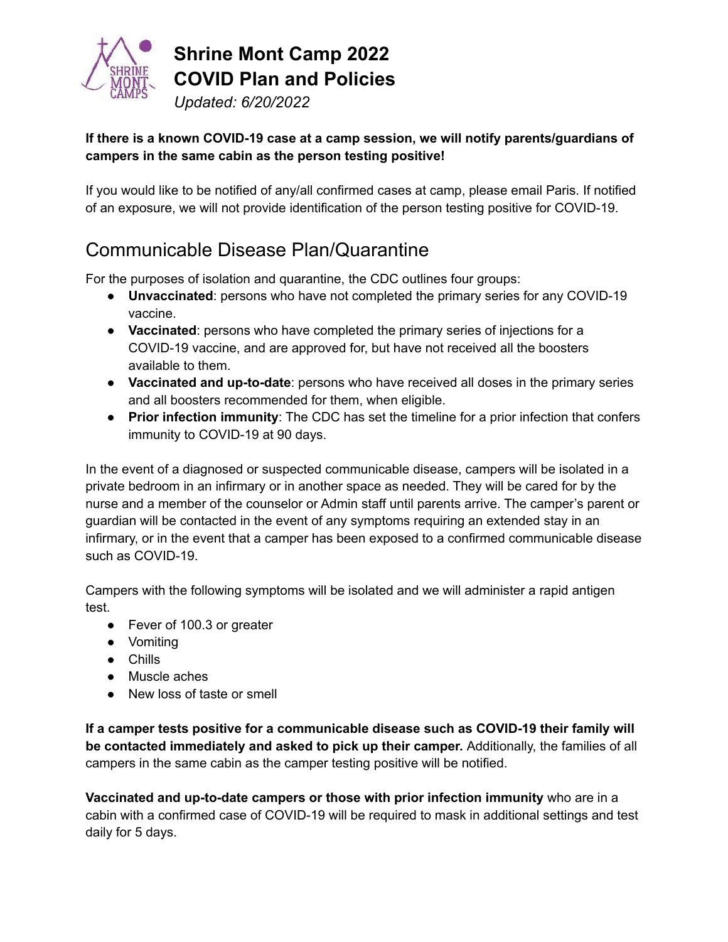

**Shrine Mont Camp 2022 COVID Plan and Policies** *Updated: 6/20/2022*

#### **If there is a known COVID-19 case at a camp session, we will notify parents/guardians of campers in the same cabin as the person testing positive!**

If you would like to be notified of any/all confirmed cases at camp, please email Paris. If notified of an exposure, we will not provide identification of the person testing positive for COVID-19.

### Communicable Disease Plan/Quarantine

For the purposes of isolation and quarantine, the CDC outlines four groups:

- **Unvaccinated**: persons who have not completed the primary series for any COVID-19 vaccine.
- **Vaccinated**: persons who have completed the primary series of injections for a COVID-19 vaccine, and are approved for, but have not received all the boosters available to them.
- **Vaccinated and up-to-date**: persons who have received all doses in the primary series and all boosters recommended for them, when eligible.
- **Prior infection immunity**: The CDC has set the timeline for a prior infection that confers immunity to COVID-19 at 90 days.

In the event of a diagnosed or suspected communicable disease, campers will be isolated in a private bedroom in an infirmary or in another space as needed. They will be cared for by the nurse and a member of the counselor or Admin staff until parents arrive. The camper's parent or guardian will be contacted in the event of any symptoms requiring an extended stay in an infirmary, or in the event that a camper has been exposed to a confirmed communicable disease such as COVID-19.

Campers with the following symptoms will be isolated and we will administer a rapid antigen test.

- Fever of 100.3 or greater
- Vomiting
- Chills
- Muscle aches
- New loss of taste or smell

**If a camper tests positive for a communicable disease such as COVID-19 their family will be contacted immediately and asked to pick up their camper.** Additionally, the families of all campers in the same cabin as the camper testing positive will be notified.

**Vaccinated and up-to-date campers or those with prior infection immunity** who are in a cabin with a confirmed case of COVID-19 will be required to mask in additional settings and test daily for 5 days.